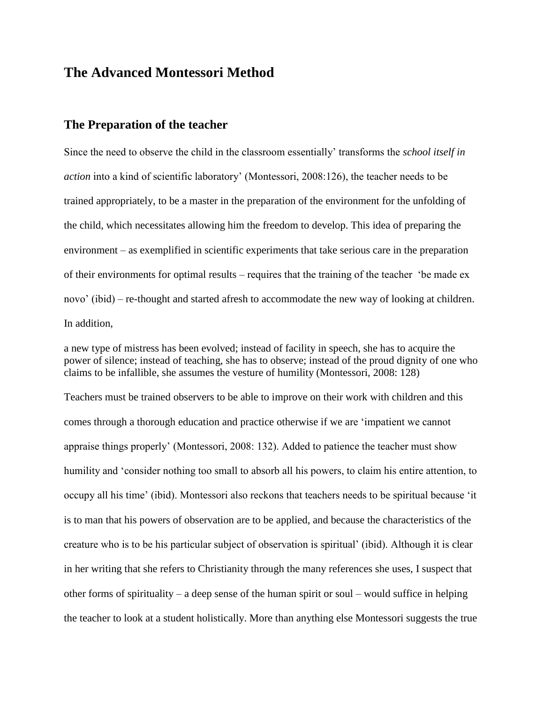# **The Advanced Montessori Method**

#### **The Preparation of the teacher**

Since the need to observe the child in the classroom essentially' transforms the *school itself in action* into a kind of scientific laboratory' (Montessori, 2008:126), the teacher needs to be trained appropriately, to be a master in the preparation of the environment for the unfolding of the child, which necessitates allowing him the freedom to develop. This idea of preparing the environment – as exemplified in scientific experiments that take serious care in the preparation of their environments for optimal results – requires that the training of the teacher 'be made ex novo' (ibid) – re-thought and started afresh to accommodate the new way of looking at children. In addition,

a new type of mistress has been evolved; instead of facility in speech, she has to acquire the power of silence; instead of teaching, she has to observe; instead of the proud dignity of one who claims to be infallible, she assumes the vesture of humility (Montessori, 2008: 128)

Teachers must be trained observers to be able to improve on their work with children and this comes through a thorough education and practice otherwise if we are 'impatient we cannot appraise things properly' (Montessori, 2008: 132). Added to patience the teacher must show humility and 'consider nothing too small to absorb all his powers, to claim his entire attention, to occupy all his time' (ibid). Montessori also reckons that teachers needs to be spiritual because 'it is to man that his powers of observation are to be applied, and because the characteristics of the creature who is to be his particular subject of observation is spiritual' (ibid). Although it is clear in her writing that she refers to Christianity through the many references she uses, I suspect that other forms of spirituality – a deep sense of the human spirit or soul – would suffice in helping the teacher to look at a student holistically. More than anything else Montessori suggests the true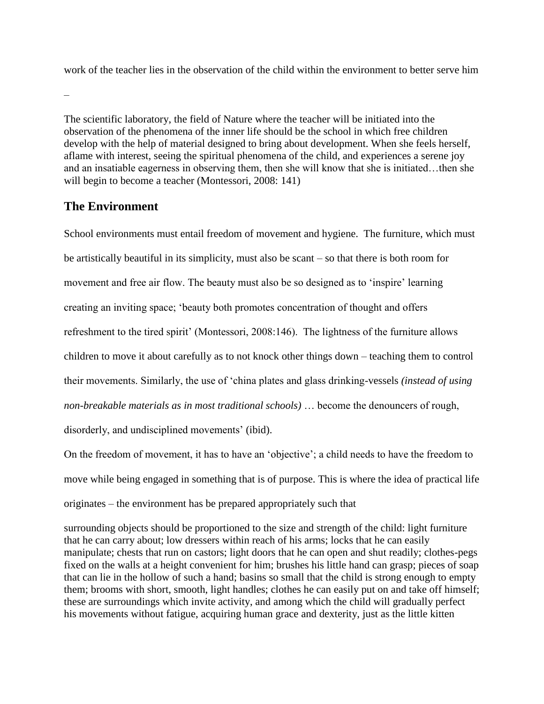work of the teacher lies in the observation of the child within the environment to better serve him

–

The scientific laboratory, the field of Nature where the teacher will be initiated into the observation of the phenomena of the inner life should be the school in which free children develop with the help of material designed to bring about development. When she feels herself, aflame with interest, seeing the spiritual phenomena of the child, and experiences a serene joy and an insatiable eagerness in observing them, then she will know that she is initiated…then she will begin to become a teacher (Montessori, 2008: 141)

## **The Environment**

School environments must entail freedom of movement and hygiene. The furniture, which must be artistically beautiful in its simplicity, must also be scant – so that there is both room for movement and free air flow. The beauty must also be so designed as to 'inspire' learning creating an inviting space; 'beauty both promotes concentration of thought and offers refreshment to the tired spirit' (Montessori, 2008:146). The lightness of the furniture allows children to move it about carefully as to not knock other things down – teaching them to control their movements. Similarly, the use of 'china plates and glass drinking-vessels *(instead of using non-breakable materials as in most traditional schools)* … become the denouncers of rough, disorderly, and undisciplined movements' (ibid).

On the freedom of movement, it has to have an 'objective'; a child needs to have the freedom to move while being engaged in something that is of purpose. This is where the idea of practical life originates – the environment has be prepared appropriately such that

surrounding objects should be proportioned to the size and strength of the child: light furniture that he can carry about; low dressers within reach of his arms; locks that he can easily manipulate; chests that run on castors; light doors that he can open and shut readily; clothes-pegs fixed on the walls at a height convenient for him; brushes his little hand can grasp; pieces of soap that can lie in the hollow of such a hand; basins so small that the child is strong enough to empty them; brooms with short, smooth, light handles; clothes he can easily put on and take off himself; these are surroundings which invite activity, and among which the child will gradually perfect his movements without fatigue, acquiring human grace and dexterity, just as the little kitten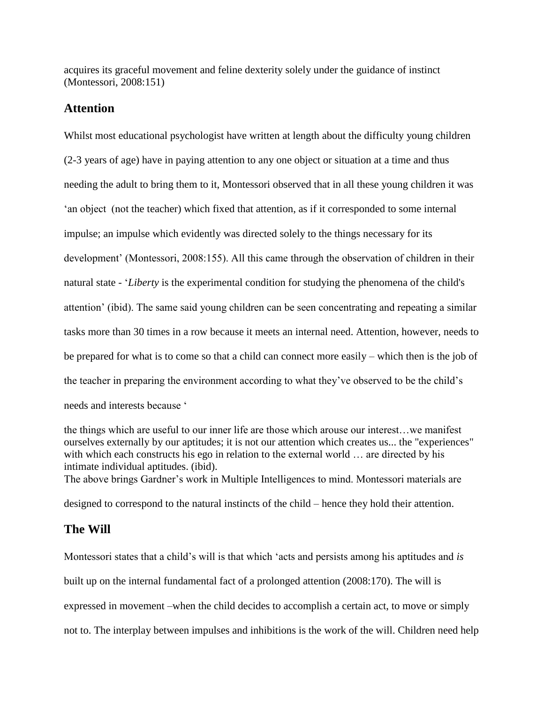acquires its graceful movement and feline dexterity solely under the guidance of instinct (Montessori, 2008:151)

### **Attention**

Whilst most educational psychologist have written at length about the difficulty young children (2-3 years of age) have in paying attention to any one object or situation at a time and thus needing the adult to bring them to it, Montessori observed that in all these young children it was 'an object (not the teacher) which fixed that attention, as if it corresponded to some internal impulse; an impulse which evidently was directed solely to the things necessary for its development' (Montessori, 2008:155). All this came through the observation of children in their natural state - '*Liberty* is the experimental condition for studying the phenomena of the child's attention' (ibid). The same said young children can be seen concentrating and repeating a similar tasks more than 30 times in a row because it meets an internal need. Attention, however, needs to be prepared for what is to come so that a child can connect more easily – which then is the job of the teacher in preparing the environment according to what they've observed to be the child's needs and interests because '

the things which are useful to our inner life are those which arouse our interest…we manifest ourselves externally by our aptitudes; it is not our attention which creates us... the "experiences" with which each constructs his ego in relation to the external world ... are directed by his intimate individual aptitudes. (ibid).

The above brings Gardner's work in Multiple Intelligences to mind. Montessori materials are

designed to correspond to the natural instincts of the child – hence they hold their attention.

## **The Will**

Montessori states that a child's will is that which 'acts and persists among his aptitudes and *is* built up on the internal fundamental fact of a prolonged attention (2008:170). The will is expressed in movement –when the child decides to accomplish a certain act, to move or simply not to. The interplay between impulses and inhibitions is the work of the will. Children need help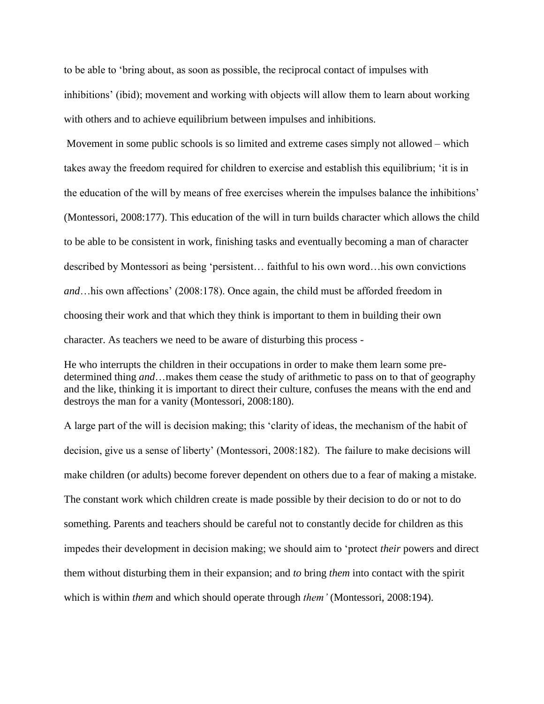to be able to 'bring about, as soon as possible, the reciprocal contact of impulses with inhibitions' (ibid); movement and working with objects will allow them to learn about working with others and to achieve equilibrium between impulses and inhibitions.

Movement in some public schools is so limited and extreme cases simply not allowed – which takes away the freedom required for children to exercise and establish this equilibrium; 'it is in the education of the will by means of free exercises wherein the impulses balance the inhibitions' (Montessori, 2008:177). This education of the will in turn builds character which allows the child to be able to be consistent in work, finishing tasks and eventually becoming a man of character described by Montessori as being 'persistent… faithful to his own word…his own convictions *and*…his own affections' (2008:178). Once again, the child must be afforded freedom in choosing their work and that which they think is important to them in building their own character. As teachers we need to be aware of disturbing this process -

He who interrupts the children in their occupations in order to make them learn some predetermined thing *and*…makes them cease the study of arithmetic to pass on to that of geography and the like, thinking it is important to direct their culture, confuses the means with the end and destroys the man for a vanity (Montessori, 2008:180).

A large part of the will is decision making; this 'clarity of ideas, the mechanism of the habit of decision, give us a sense of liberty' (Montessori, 2008:182). The failure to make decisions will make children (or adults) become forever dependent on others due to a fear of making a mistake. The constant work which children create is made possible by their decision to do or not to do something. Parents and teachers should be careful not to constantly decide for children as this impedes their development in decision making; we should aim to 'protect *their* powers and direct them without disturbing them in their expansion; and *to* bring *them* into contact with the spirit which is within *them* and which should operate through *them'* (Montessori, 2008:194).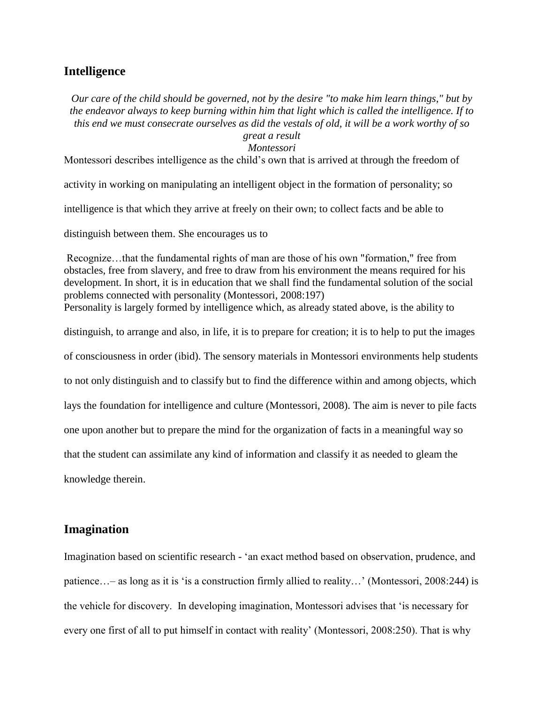#### **Intelligence**

*Our care of the child should be governed, not by the desire "to make him learn things," but by the endeavor always to keep burning within him that light which is called the intelligence. If to this end we must consecrate ourselves as did the vestals of old, it will be a work worthy of so* 

### *great a result*

*Montessori*

Montessori describes intelligence as the child's own that is arrived at through the freedom of

activity in working on manipulating an intelligent object in the formation of personality; so

intelligence is that which they arrive at freely on their own; to collect facts and be able to

distinguish between them. She encourages us to

Recognize…that the fundamental rights of man are those of his own "formation," free from obstacles, free from slavery, and free to draw from his environment the means required for his development. In short, it is in education that we shall find the fundamental solution of the social problems connected with personality (Montessori, 2008:197) Personality is largely formed by intelligence which, as already stated above, is the ability to distinguish, to arrange and also, in life, it is to prepare for creation; it is to help to put the images

of consciousness in order (ibid). The sensory materials in Montessori environments help students

to not only distinguish and to classify but to find the difference within and among objects, which

lays the foundation for intelligence and culture (Montessori, 2008). The aim is never to pile facts

one upon another but to prepare the mind for the organization of facts in a meaningful way so

that the student can assimilate any kind of information and classify it as needed to gleam the

knowledge therein.

#### **Imagination**

Imagination based on scientific research - 'an exact method based on observation, prudence, and patience…– as long as it is 'is a construction firmly allied to reality…' (Montessori, 2008:244) is the vehicle for discovery. In developing imagination, Montessori advises that 'is necessary for every one first of all to put himself in contact with reality' (Montessori, 2008:250). That is why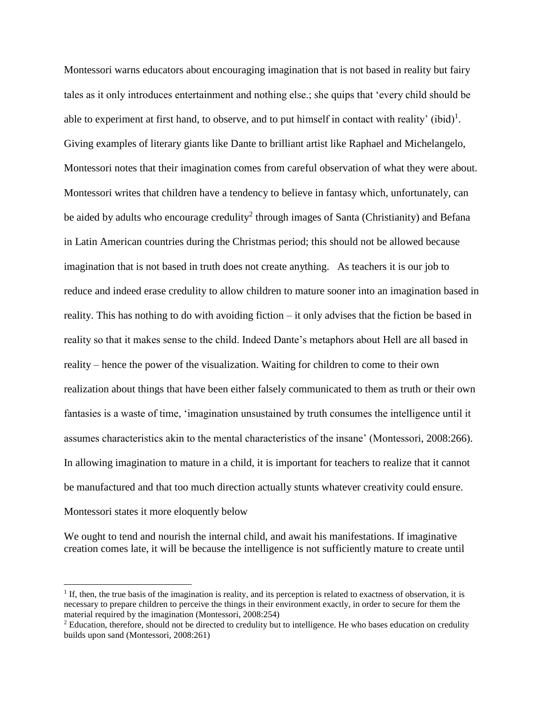Montessori warns educators about encouraging imagination that is not based in reality but fairy tales as it only introduces entertainment and nothing else.; she quips that 'every child should be able to experiment at first hand, to observe, and to put himself in contact with reality' (ibid)<sup>1</sup>. Giving examples of literary giants like Dante to brilliant artist like Raphael and Michelangelo, Montessori notes that their imagination comes from careful observation of what they were about. Montessori writes that children have a tendency to believe in fantasy which, unfortunately, can be aided by adults who encourage credulity<sup>2</sup> through images of Santa (Christianity) and Befana in Latin American countries during the Christmas period; this should not be allowed because imagination that is not based in truth does not create anything. As teachers it is our job to reduce and indeed erase credulity to allow children to mature sooner into an imagination based in reality. This has nothing to do with avoiding fiction – it only advises that the fiction be based in reality so that it makes sense to the child. Indeed Dante's metaphors about Hell are all based in reality – hence the power of the visualization. Waiting for children to come to their own realization about things that have been either falsely communicated to them as truth or their own fantasies is a waste of time, 'imagination unsustained by truth consumes the intelligence until it assumes characteristics akin to the mental characteristics of the insane' (Montessori, 2008:266). In allowing imagination to mature in a child, it is important for teachers to realize that it cannot be manufactured and that too much direction actually stunts whatever creativity could ensure. Montessori states it more eloquently below

We ought to tend and nourish the internal child, and await his manifestations. If imaginative creation comes late, it will be because the intelligence is not sufficiently mature to create until

 $\overline{\phantom{a}}$ 

<sup>&</sup>lt;sup>1</sup> If, then, the true basis of the imagination is reality, and its perception is related to exactness of observation, it is necessary to prepare children to perceive the things in their environment exactly, in order to secure for them the material required by the imagination (Montessori, 2008:254)

<sup>&</sup>lt;sup>2</sup> Education, therefore, should not be directed to credulity but to intelligence. He who bases education on credulity builds upon sand (Montessori, 2008:261)